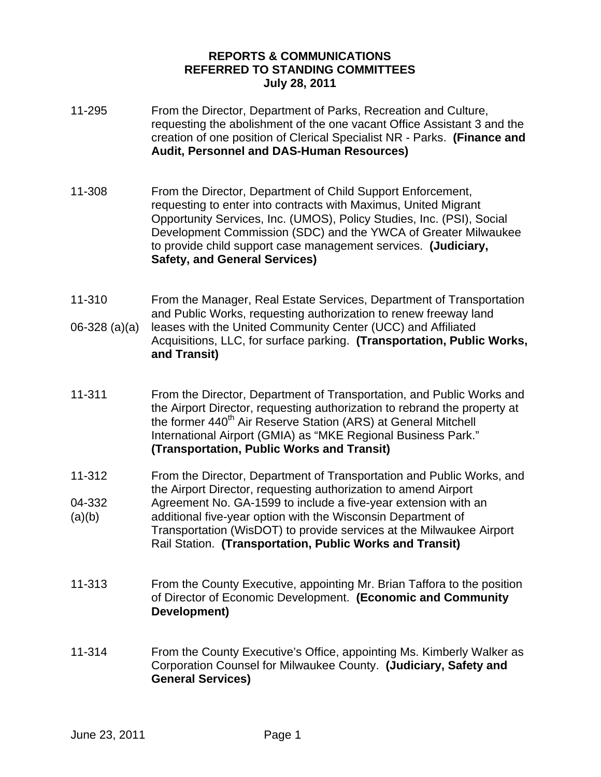## **REPORTS & COMMUNICATIONS REFERRED TO STANDING COMMITTEES July 28, 2011**

- 11-295 From the Director, Department of Parks, Recreation and Culture, requesting the abolishment of the one vacant Office Assistant 3 and the creation of one position of Clerical Specialist NR - Parks. **(Finance and Audit, Personnel and DAS-Human Resources)**
- 11-308 From the Director, Department of Child Support Enforcement, requesting to enter into contracts with Maximus, United Migrant Opportunity Services, Inc. (UMOS), Policy Studies, Inc. (PSI), Social Development Commission (SDC) and the YWCA of Greater Milwaukee to provide child support case management services. **(Judiciary, Safety, and General Services)**
- 11-310 06-328 (a)(a) From the Manager, Real Estate Services, Department of Transportation and Public Works, requesting authorization to renew freeway land leases with the United Community Center (UCC) and Affiliated Acquisitions, LLC, for surface parking. **(Transportation, Public Works, and Transit)**
- 11-311 From the Director, Department of Transportation, and Public Works and the Airport Director, requesting authorization to rebrand the property at the former 440<sup>th</sup> Air Reserve Station (ARS) at General Mitchell International Airport (GMIA) as "MKE Regional Business Park." **(Transportation, Public Works and Transit)**
- 11-312 From the Director, Department of Transportation and Public Works, and the Airport Director, requesting authorization to amend Airport
- 04-332  $(a)(b)$ Agreement No. GA-1599 to include a five-year extension with an additional five-year option with the Wisconsin Department of Transportation (WisDOT) to provide services at the Milwaukee Airport Rail Station. **(Transportation, Public Works and Transit)**
- 11-313 From the County Executive, appointing Mr. Brian Taffora to the position of Director of Economic Development. **(Economic and Community Development)**
- 11-314 From the County Executive's Office, appointing Ms. Kimberly Walker as Corporation Counsel for Milwaukee County. **(Judiciary, Safety and General Services)**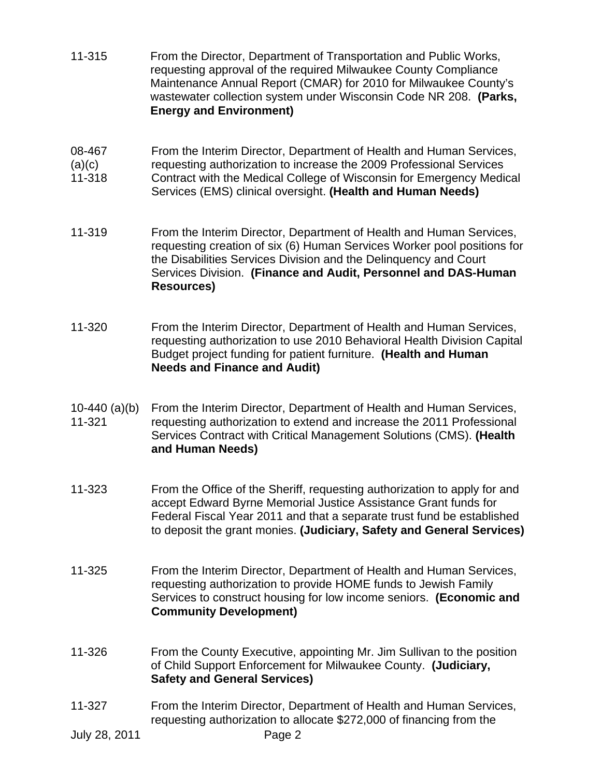- 11-315 From the Director, Department of Transportation and Public Works, requesting approval of the required Milwaukee County Compliance Maintenance Annual Report (CMAR) for 2010 for Milwaukee County's wastewater collection system under Wisconsin Code NR 208. **(Parks, Energy and Environment)**
- 08-467 From the Interim Director, Department of Health and Human Services,
- $(a)(c)$ requesting authorization to increase the 2009 Professional Services
- 11-318 Contract with the Medical College of Wisconsin for Emergency Medical Services (EMS) clinical oversight. **(Health and Human Needs)**
- 11-319 From the Interim Director, Department of Health and Human Services, requesting creation of six (6) Human Services Worker pool positions for the Disabilities Services Division and the Delinquency and Court Services Division. **(Finance and Audit, Personnel and DAS-Human Resources)**
- 11-320 From the Interim Director, Department of Health and Human Services, requesting authorization to use 2010 Behavioral Health Division Capital Budget project funding for patient furniture. **(Health and Human Needs and Finance and Audit)**
- 10-440 (a)(b) 11-321 From the Interim Director, Department of Health and Human Services, requesting authorization to extend and increase the 2011 Professional Services Contract with Critical Management Solutions (CMS). **(Health and Human Needs)**
- 11-323 From the Office of the Sheriff, requesting authorization to apply for and accept Edward Byrne Memorial Justice Assistance Grant funds for Federal Fiscal Year 2011 and that a separate trust fund be established to deposit the grant monies. **(Judiciary, Safety and General Services)**
- 11-325 From the Interim Director, Department of Health and Human Services, requesting authorization to provide HOME funds to Jewish Family Services to construct housing for low income seniors. **(Economic and Community Development)**
- 11-326 From the County Executive, appointing Mr. Jim Sullivan to the position of Child Support Enforcement for Milwaukee County. **(Judiciary, Safety and General Services)**
- 11-327 From the Interim Director, Department of Health and Human Services, requesting authorization to allocate \$272,000 of financing from the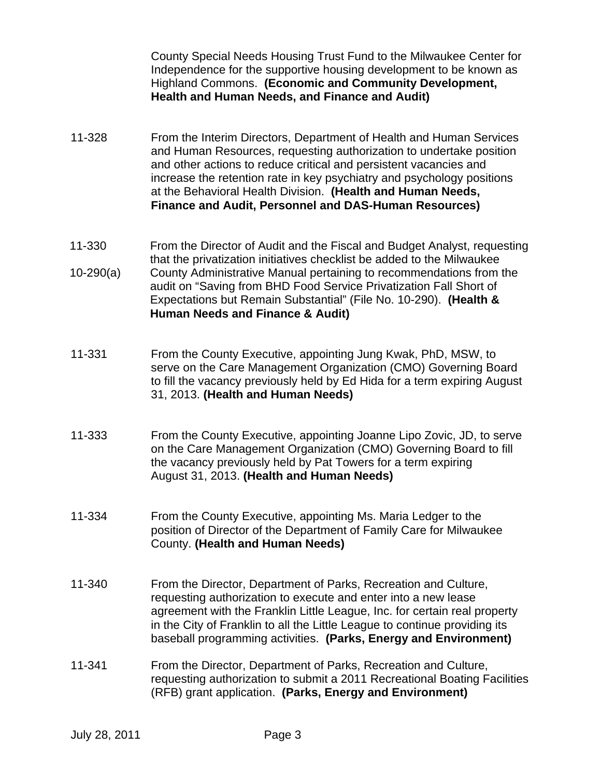County Special Needs Housing Trust Fund to the Milwaukee Center for Independence for the supportive housing development to be known as Highland Commons. **(Economic and Community Development, Health and Human Needs, and Finance and Audit)** 

- 11-328 From the Interim Directors, Department of Health and Human Services and Human Resources, requesting authorization to undertake position and other actions to reduce critical and persistent vacancies and increase the retention rate in key psychiatry and psychology positions at the Behavioral Health Division. **(Health and Human Needs, Finance and Audit, Personnel and DAS-Human Resources)**
- 11-330 10-290(a) From the Director of Audit and the Fiscal and Budget Analyst, requesting that the privatization initiatives checklist be added to the Milwaukee County Administrative Manual pertaining to recommendations from the audit on "Saving from BHD Food Service Privatization Fall Short of Expectations but Remain Substantial" (File No. 10-290). **(Health & Human Needs and Finance & Audit)**
- 11-331 From the County Executive, appointing Jung Kwak, PhD, MSW, to serve on the Care Management Organization (CMO) Governing Board to fill the vacancy previously held by Ed Hida for a term expiring August 31, 2013. **(Health and Human Needs)**
- 11-333 From the County Executive, appointing Joanne Lipo Zovic, JD, to serve on the Care Management Organization (CMO) Governing Board to fill the vacancy previously held by Pat Towers for a term expiring August 31, 2013. **(Health and Human Needs)**
- 11-334 From the County Executive, appointing Ms. Maria Ledger to the position of Director of the Department of Family Care for Milwaukee County. **(Health and Human Needs)**
- 11-340 From the Director, Department of Parks, Recreation and Culture, requesting authorization to execute and enter into a new lease agreement with the Franklin Little League, Inc. for certain real property in the City of Franklin to all the Little League to continue providing its baseball programming activities. **(Parks, Energy and Environment)**
- 11-341 From the Director, Department of Parks, Recreation and Culture, requesting authorization to submit a 2011 Recreational Boating Facilities (RFB) grant application. **(Parks, Energy and Environment)**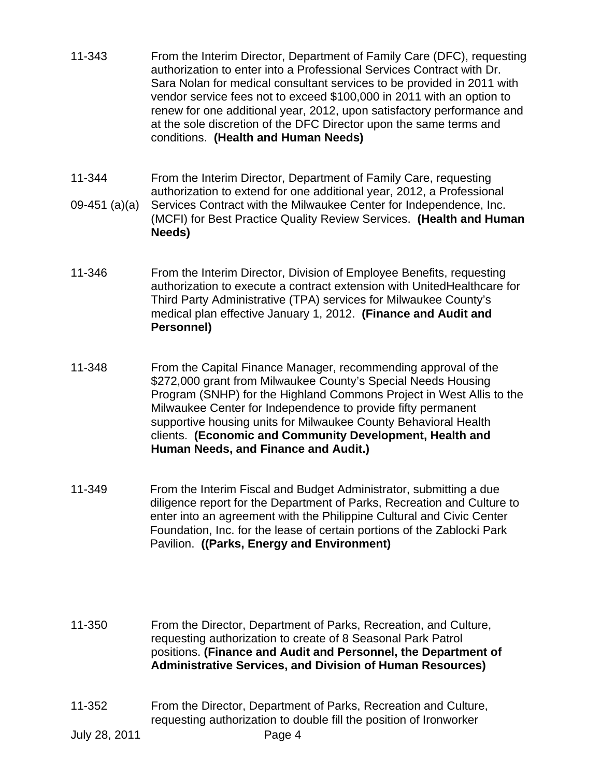- 11-343 From the Interim Director, Department of Family Care (DFC), requesting authorization to enter into a Professional Services Contract with Dr. Sara Nolan for medical consultant services to be provided in 2011 with vendor service fees not to exceed \$100,000 in 2011 with an option to renew for one additional year, 2012, upon satisfactory performance and at the sole discretion of the DFC Director upon the same terms and conditions. **(Health and Human Needs)**
- 11-344 09-451 (a)(a) From the Interim Director, Department of Family Care, requesting authorization to extend for one additional year, 2012, a Professional Services Contract with the Milwaukee Center for Independence, Inc. (MCFI) for Best Practice Quality Review Services. **(Health and Human Needs)**
- 11-346 From the Interim Director, Division of Employee Benefits, requesting authorization to execute a contract extension with UnitedHealthcare for Third Party Administrative (TPA) services for Milwaukee County's medical plan effective January 1, 2012. **(Finance and Audit and Personnel)**
- 11-348 From the Capital Finance Manager, recommending approval of the \$272,000 grant from Milwaukee County's Special Needs Housing Program (SNHP) for the Highland Commons Project in West Allis to the Milwaukee Center for Independence to provide fifty permanent supportive housing units for Milwaukee County Behavioral Health clients. **(Economic and Community Development, Health and Human Needs, and Finance and Audit.)**
- 11-349 From the Interim Fiscal and Budget Administrator, submitting a due diligence report for the Department of Parks, Recreation and Culture to enter into an agreement with the Philippine Cultural and Civic Center Foundation, Inc. for the lease of certain portions of the Zablocki Park Pavilion. **((Parks, Energy and Environment)**

11-350 From the Director, Department of Parks, Recreation, and Culture, requesting authorization to create of 8 Seasonal Park Patrol positions. **(Finance and Audit and Personnel, the Department of Administrative Services, and Division of Human Resources)** 

11-352 From the Director, Department of Parks, Recreation and Culture, requesting authorization to double fill the position of Ironworker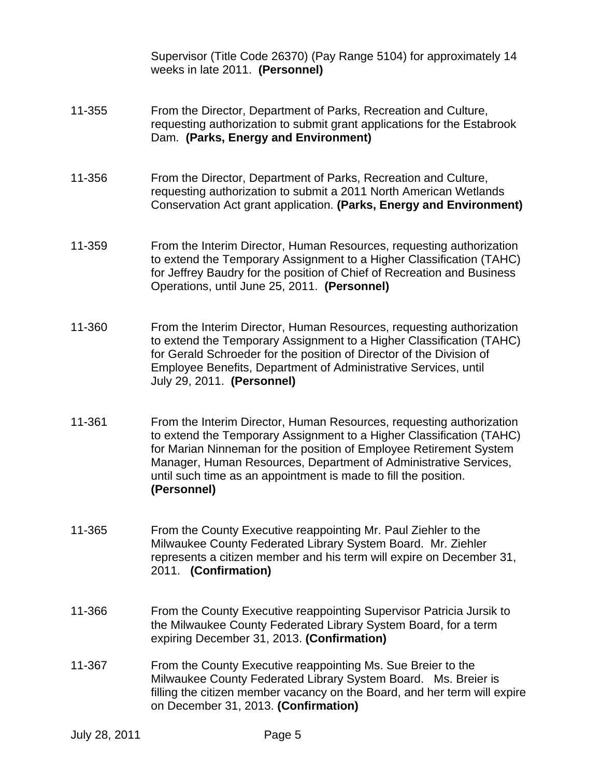Supervisor (Title Code 26370) (Pay Range 5104) for approximately 14 weeks in late 2011. **(Personnel)**

- 11-355 From the Director, Department of Parks, Recreation and Culture, requesting authorization to submit grant applications for the Estabrook Dam. **(Parks, Energy and Environment)**
- 11-356 From the Director, Department of Parks, Recreation and Culture, requesting authorization to submit a 2011 North American Wetlands Conservation Act grant application. **(Parks, Energy and Environment)**
- 11-359 From the Interim Director, Human Resources, requesting authorization to extend the Temporary Assignment to a Higher Classification (TAHC) for Jeffrey Baudry for the position of Chief of Recreation and Business Operations, until June 25, 2011. **(Personnel)**
- 11-360 From the Interim Director, Human Resources, requesting authorization to extend the Temporary Assignment to a Higher Classification (TAHC) for Gerald Schroeder for the position of Director of the Division of Employee Benefits, Department of Administrative Services, until July 29, 2011. **(Personnel)**
- 11-361 From the Interim Director, Human Resources, requesting authorization to extend the Temporary Assignment to a Higher Classification (TAHC) for Marian Ninneman for the position of Employee Retirement System Manager, Human Resources, Department of Administrative Services, until such time as an appointment is made to fill the position. **(Personnel)**
- 11-365 From the County Executive reappointing Mr. Paul Ziehler to the Milwaukee County Federated Library System Board. Mr. Ziehler represents a citizen member and his term will expire on December 31, 2011. **(Confirmation)**
- 11-366 From the County Executive reappointing Supervisor Patricia Jursik to the Milwaukee County Federated Library System Board, for a term expiring December 31, 2013. **(Confirmation)**
- 11-367 From the County Executive reappointing Ms. Sue Breier to the Milwaukee County Federated Library System Board. Ms. Breier is filling the citizen member vacancy on the Board, and her term will expire on December 31, 2013. **(Confirmation)**